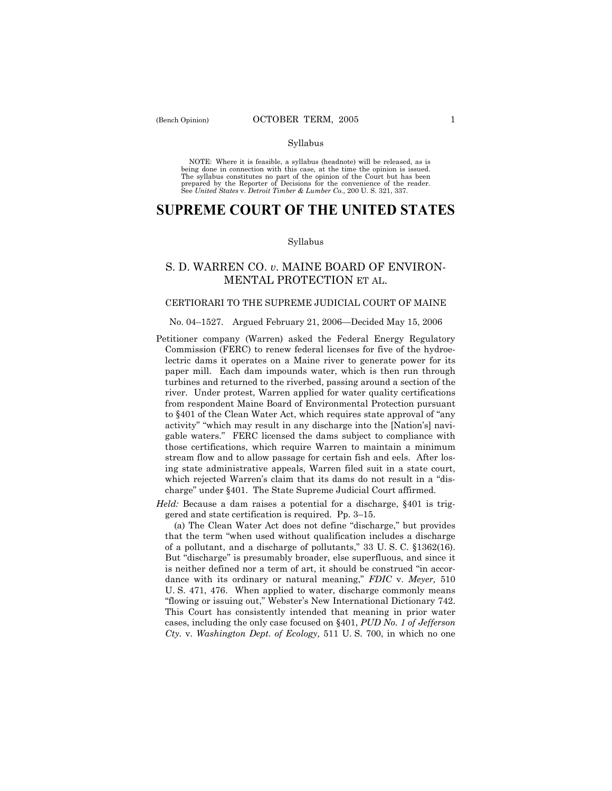## Syllabus

NOTE: Where it is feasible, a syllabus (headnote) will be released, as is being done in connection with this case, at the time the opinion is issued. The syllabus constitutes no part of the opinion of the Court but has been<br>prepared by the Reporter of Decisions for the convenience of the reader.<br>See United States v. Detroit Timber & Lumber Co., 200 U. S. 321, 337.

# **SUPREME COURT OF THE UNITED STATES**

### Syllabus

## S. D. WARREN CO. *v*. MAINE BOARD OF ENVIRON-MENTAL PROTECTION ET AL.

## CERTIORARI TO THE SUPREME JUDICIAL COURT OF MAINE

#### No. 04–1527. Argued February 21, 2006–Decided May 15, 2006

- Petitioner company (Warren) asked the Federal Energy Regulatory Commission (FERC) to renew federal licenses for five of the hydroelectric dams it operates on a Maine river to generate power for its paper mill. Each dam impounds water, which is then run through turbines and returned to the riverbed, passing around a section of the river. Under protest, Warren applied for water quality certifications from respondent Maine Board of Environmental Protection pursuant to §401 of the Clean Water Act, which requires state approval of "any activity" "which may result in any discharge into the [Nation's] navigable waters.î FERC licensed the dams subject to compliance with those certifications, which require Warren to maintain a minimum stream flow and to allow passage for certain fish and eels. After losing state administrative appeals, Warren filed suit in a state court, which rejected Warren's claim that its dams do not result in a "discharge" under §401. The State Supreme Judicial Court affirmed.
- *Held:* Because a dam raises a potential for a discharge, §401 is triggered and state certification is required. Pp.  $3-15$ .

(a) The Clean Water Act does not define "discharge," but provides that the term "when used without qualification includes a discharge of a pollutant, and a discharge of pollutants,"  $33 \text{ U.S. C. }$  $$1362(16).$ But "discharge" is presumably broader, else superfluous, and since it is neither defined nor a term of art, it should be construed "in accordance with its ordinary or natural meaning," *FDIC* v. *Meyer*, 510 U. S. 471, 476. When applied to water, discharge commonly means ìflowing or issuing out,î Websterís New International Dictionary 742. This Court has consistently intended that meaning in prior water cases, including the only case focused on ß401, *PUD No. 1 of Jefferson Cty.* v. *Washington Dept. of Ecology,* 511 U. S. 700, in which no one